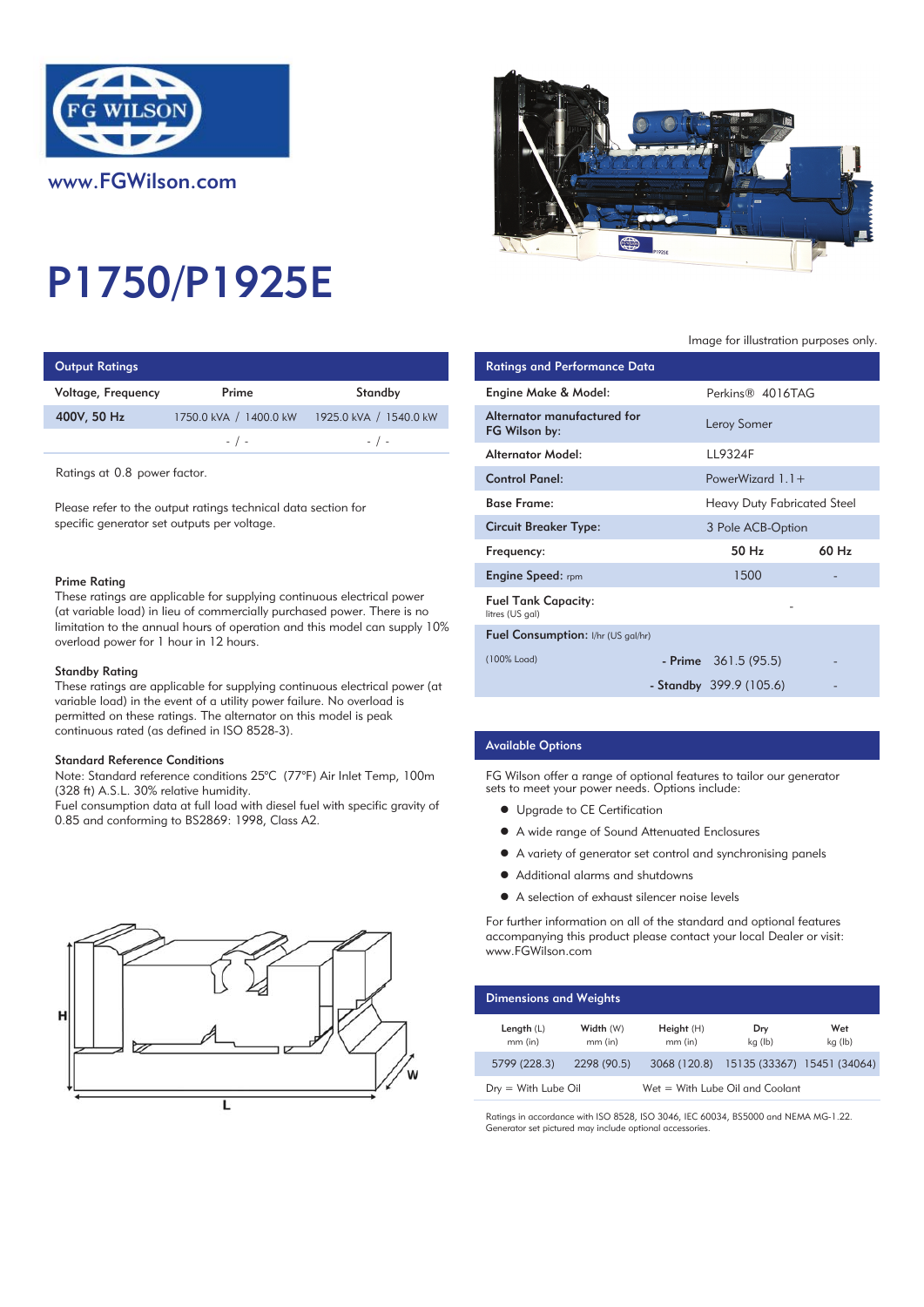

# P1750/P1925E

| <b>Output Ratings</b> |                        |                        | <b>Ratings and Performance Data</b> |
|-----------------------|------------------------|------------------------|-------------------------------------|
| Voltage, Frequency    | Prime                  | Standby                | Engine Make & Model:                |
| 400V, 50 Hz           | 1750.0 kVA / 1400.0 kW | 1925.0 kVA / 1540.0 kW | Alternator manufactured for         |
|                       | $-$ / $-$              | $-$ / $-$              | FG Wilson by:                       |
|                       |                        |                        | Altowartou AAodol:                  |

Ratings at 0.8 power factor.

Please refer to the output ratings technical data section for specific generator set outputs per voltage.

#### Prime Rating

These ratings are applicable for supplying continuous electrical power (at variable load) in lieu of commercially purchased power. There is no limitation to the annual hours of operation and this model can supply 10% overload power for 1 hour in 12 hours.

#### Standby Rating

These ratings are applicable for supplying continuous electrical power (at variable load) in the event of a utility power failure. No overload is permitted on these ratings. The alternator on this model is peak continuous rated (as defined in ISO 8528-3).

#### Standard Reference Conditions

Note: Standard reference conditions 25°C (77°F) Air Inlet Temp, 100m (328 ft) A.S.L. 30% relative humidity.

Fuel consumption data at full load with diesel fuel with specific gravity of 0.85 and conforming to BS2869: 1998, Class A2.





### Image for illustration purposes only.

| <b>Ratings and Performance Data</b>           |                             |       |
|-----------------------------------------------|-----------------------------|-------|
| Engine Make & Model:                          | Perkins® 4016TAG            |       |
| Alternator manufactured for<br>FG Wilson by:  | Leroy Somer                 |       |
| Alternator Model:                             | LL9324F                     |       |
| <b>Control Panel:</b>                         | PowerWizard $1.1+$          |       |
| <b>Base Frame:</b>                            | Heavy Duty Fabricated Steel |       |
| Circuit Breaker Type:                         | 3 Pole ACB-Option           |       |
| Frequency:                                    | 50 Hz                       | 60 Hz |
| <b>Engine Speed:</b> rpm                      | 1500                        |       |
| <b>Fuel Tank Capacity:</b><br>litres (US gal) |                             |       |
| Fuel Consumption: I/hr (US gal/hr)            |                             |       |
| (100% Load)                                   | - Prime $361.5(95.5)$       |       |
|                                               | - Standby 399.9 (105.6)     |       |

## Available Options

FG Wilson offer a range of optional features to tailor our generator sets to meet your power needs. Options include:

- **•** Upgrade to CE Certification
- A wide range of Sound Attenuated Enclosures
- A variety of generator set control and synchronising panels
- Additional alarms and shutdowns
- A selection of exhaust silencer noise levels

For further information on all of the standard and optional features accompanying this product please contact your local Dealer or visit: www.FGWilson.com

| <b>Dimensions and Weights</b> |                        |                        |                                 |                |
|-------------------------------|------------------------|------------------------|---------------------------------|----------------|
| Length $(L)$<br>$mm$ (in)     | Width (W)<br>$mm$ (in) | Height(H)<br>$mm$ (in) | Dry<br>kg (lb)                  | Wet<br>kg (lb) |
| 5799 (228.3)                  | 2298 (90.5)            | 3068 (120.8)           | 15135 (33367) 15451 (34064)     |                |
| $Dry = With Lube Oil$         |                        |                        | Wet = With Lube Oil and Coolant |                |

Ratings in accordance with ISO 8528, ISO 3046, IEC 60034, BS5000 and NEMA MG-1.22. Generator set pictured may include optional accessories.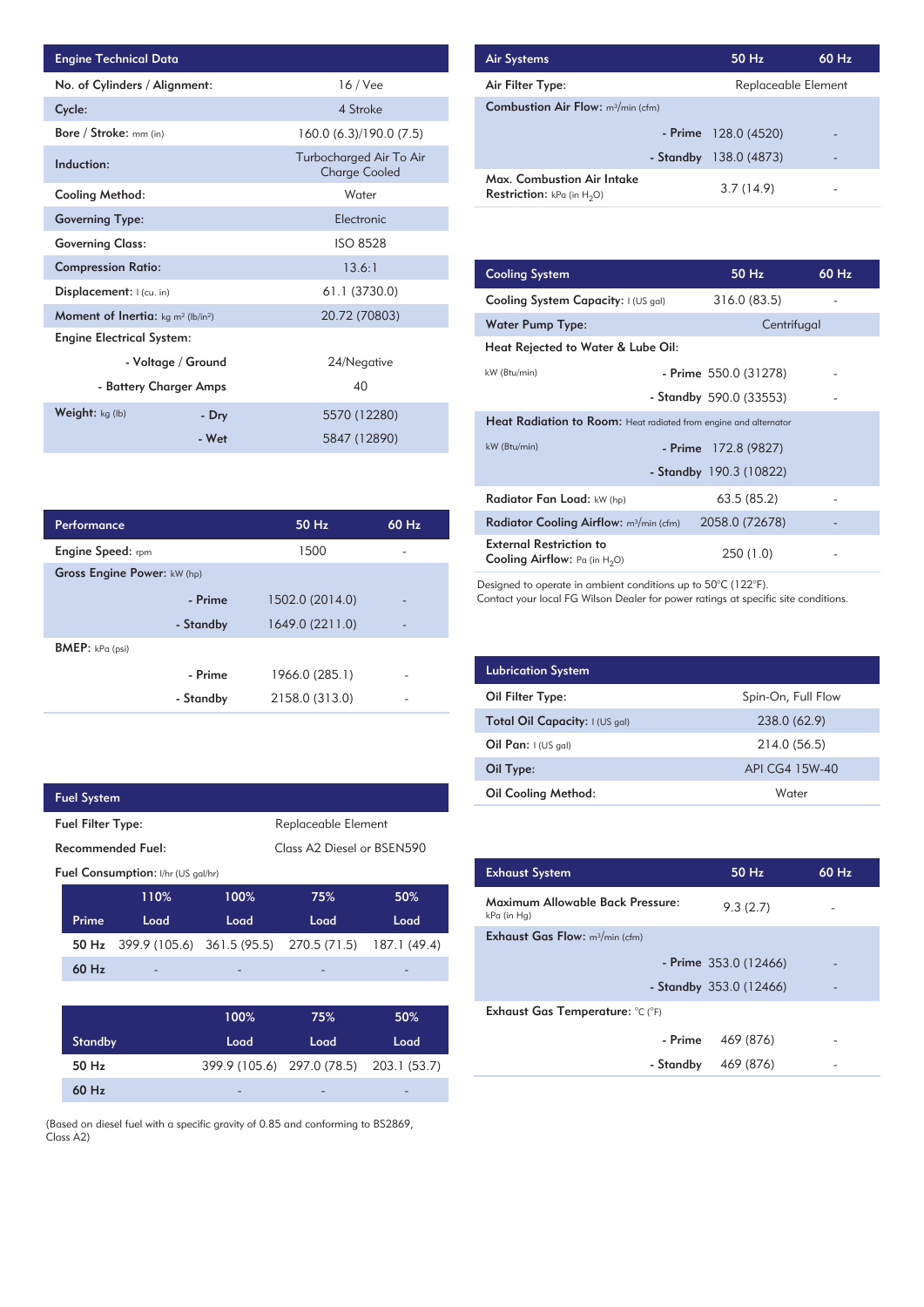| <b>Engine Technical Data</b>                       |                    |                                                 | <b>Air Systems</b>  |
|----------------------------------------------------|--------------------|-------------------------------------------------|---------------------|
| No. of Cylinders / Alignment:                      |                    | $16$ / Vee                                      | Air Filter Ty       |
| Cycle:                                             |                    | 4 Stroke                                        | Combustion          |
| Bore / Stroke: mm (in)                             |                    | 160.0 (6.3)/190.0 (7.5)                         |                     |
| Induction:                                         |                    | Turbocharged Air To Air<br><b>Charge Cooled</b> | Max. Comb           |
| <b>Cooling Method:</b>                             |                    | Water                                           | <b>Restriction:</b> |
| <b>Governing Type:</b>                             |                    | Electronic                                      |                     |
| <b>Governing Class:</b>                            |                    | <b>ISO 8528</b>                                 |                     |
| <b>Compression Ratio:</b>                          |                    | 13.6:1                                          | <b>Cooling Sys</b>  |
| Displacement:  (cu. in)                            |                    | 61.1 (3730.0)                                   | <b>Cooling Sys</b>  |
| <b>Moment of Inertia:</b> $kg \, m^2 \, (lb/in^2)$ |                    | 20.72 (70803)                                   | Water Pum           |
| <b>Engine Electrical System:</b>                   |                    |                                                 | <b>Heat Reject</b>  |
|                                                    | - Voltage / Ground | 24/Negative                                     |                     |
| - Battery Charger Amps                             |                    | 40                                              | kW (Btu/min)        |
| Weight: kg (lb)                                    | - Dry              | 5570 (12280)                                    | <b>Heat Radia</b>   |
|                                                    | - Wet              | 5847 (12890)                                    | kW (Btu/min)        |

| Performance                        |           | $50$ Hz         | $60$ Hz                  |
|------------------------------------|-----------|-----------------|--------------------------|
| <b>Engine Speed:</b> rpm           |           | 1500            |                          |
| <b>Gross Engine Power: kW (hp)</b> |           |                 |                          |
|                                    | - Prime   | 1502.0 (2014.0) |                          |
|                                    | - Standby | 1649.0 (2211.0) | $\overline{\phantom{0}}$ |
| BMEP: kPa (psi)                    |           |                 |                          |
|                                    | - Prime   | 1966.0 (285.1)  |                          |
|                                    | - Standby | 2158.0 (313.0)  |                          |

 $\overline{\phantom{a}}$ 

|                          | <b>Fuel System</b> |                                    |                            |                            |              |
|--------------------------|--------------------|------------------------------------|----------------------------|----------------------------|--------------|
| <b>Fuel Filter Type:</b> |                    |                                    | Replaceable Element        |                            |              |
|                          |                    | Recommended Fuel:                  |                            | Class A2 Diesel or BSEN590 |              |
|                          |                    | Fuel Consumption: I/hr (US gal/hr) |                            |                            |              |
|                          |                    | 110%                               | 100%                       | 75%                        | 50%          |
|                          | Prime              | Load                               | Load                       | Load                       | Load         |
|                          | 50 Hz              |                                    | 399.9 (105.6) 361.5 (95.5) | 270.5 (71.5)               | 187.1 (49.4) |
|                          | 60 Hz              |                                    |                            |                            |              |
|                          |                    |                                    |                            |                            |              |
|                          |                    |                                    | 100%                       | 75%                        | 50%          |
|                          | <b>Standby</b>     |                                    | Load                       | Load                       | Load         |
|                          | 50 Hz              |                                    |                            | 399.9 (105.6) 297.0 (78.5) | 203.1 (53.7) |
|                          | 60 Hz              |                                    |                            |                            |              |
|                          |                    |                                    |                            |                            |              |

(Based on diesel fuel with a specific gravity of 0.85 and conforming to BS2869, Class A2)

| <b>Air Systems</b>                                                 | 50 Hz                 | $60$ Hz |
|--------------------------------------------------------------------|-----------------------|---------|
| Air Filter Type:                                                   | Replaceable Element   |         |
| <b>Combustion Air Flow:</b> m <sup>3</sup> /min (cfm)              |                       |         |
|                                                                    | - Prime $128.0(4520)$ | -       |
| - Standby                                                          | 138.0 (4873)          | -       |
| Max. Combustion Air Intake<br><b>Restriction:</b> kPa (in $H_2O$ ) | 3.7(14.9)             |         |

| 13.6:1         | <b>Cooling System</b>                                                     | $50$ Hz                 | 60 Hz |
|----------------|---------------------------------------------------------------------------|-------------------------|-------|
| 61.1 (3730.0)  | Cooling System Capacity: I (US gal)                                       | 316.0 (83.5)            |       |
| 20.72 (70803)  | <b>Water Pump Type:</b>                                                   | Centrifugal             |       |
|                | Heat Rejected to Water & Lube Oil:                                        |                         |       |
| 24/Negative    | kW (Btu/min)                                                              | - Prime $550.0$ (31278) |       |
| 40             |                                                                           | - Standby 590.0 (33553) |       |
| 5570 (12280)   | <b>Heat Radiation to Room:</b> Heat radiated from engine and alternator   |                         |       |
| 5847 (12890)   | kW (Btu/min)                                                              | - Prime 172.8 (9827)    |       |
|                |                                                                           | - Standby 190.3 (10822) |       |
|                | Radiator Fan Load: kW (hp)                                                | 63.5(85.2)              |       |
| 50 Hz<br>60 Hz | Radiator Cooling Airflow: $m^3/m$ in (cfm)                                | 2058.0 (72678)          |       |
| 1500           | <b>External Restriction to</b><br><b>Cooling Airflow:</b> Pa (in $H_2O$ ) | 250 (1.0)               |       |

Designed to operate in ambient conditions up to 50°C (122°F).

Contact your local FG Wilson Dealer for power ratings at specific site conditions.

| <b>Lubrication System</b>      |                    |
|--------------------------------|--------------------|
| Oil Filter Type:               | Spin-On, Full Flow |
| Total Oil Capacity: I (US gal) | 238.0 (62.9)       |
| Oil Pan: $1$ (US gal)          | 214.0 (56.5)       |
| Oil Type:                      | API CG4 15W-40     |
| <b>Oil Cooling Method:</b>     | Water              |

| <b>Exhaust System</b>                           | 50 Hz                    | 60 Hz |
|-------------------------------------------------|--------------------------|-------|
| Maximum Allowable Back Pressure:<br>kPa (in Hg) | 9.3(2.7)                 |       |
| <b>Exhaust Gas Flow:</b> $m^3/m$ in (cfm)       |                          |       |
|                                                 | - Prime $353.0(12466)$   |       |
|                                                 | - Standby $353.0(12466)$ |       |
| Exhaust Gas Temperature: °C (°F)                |                          |       |
| - Prime                                         | 469 (876)                |       |
| - Standby                                       | 469 (876)                |       |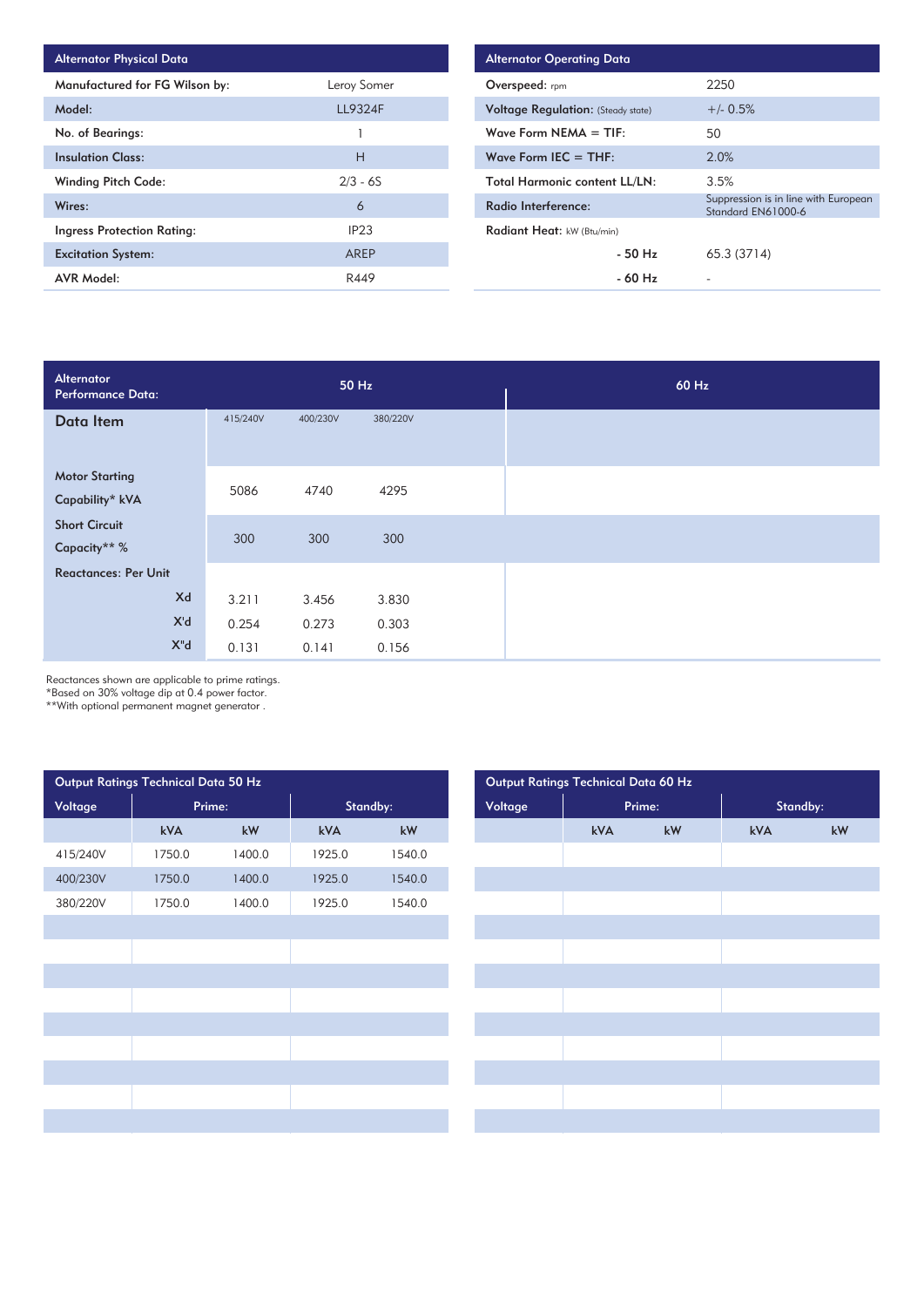| <b>Alternator Physical Data</b> |                  |
|---------------------------------|------------------|
| Manufactured for FG Wilson by:  | Leroy Somer      |
| Model:                          | <b>LL9324F</b>   |
| No. of Bearings:                |                  |
| <b>Insulation Class:</b>        | н                |
| <b>Winding Pitch Code:</b>      | $2/3 - 6S$       |
| Wires:                          | 6                |
| Ingress Protection Rating:      | IP <sub>23</sub> |
| <b>Excitation System:</b>       | AREP             |
| AVR Model:                      | R449             |

| <b>Alternator Operating Data</b>          |                                                            |
|-------------------------------------------|------------------------------------------------------------|
| Overspeed: $r_{\text{pm}}$                | 2250                                                       |
| <b>Voltage Regulation:</b> (Steady state) | $+/- 0.5%$                                                 |
| Wave Form $NEMA = TIF$                    | 50                                                         |
| Wave Form IEC $=$ THF:                    | 2.0%                                                       |
| <b>Total Harmonic content LL/LN:</b>      | 3.5%                                                       |
| Radio Interference:                       | Suppression is in line with European<br>Standard EN61000-6 |
| Radiant Heat: kW (Btu/min)                |                                                            |
| $-50$ Hz                                  | 65.3 (3714)                                                |
| - 60 Hz                                   |                                                            |

| Alternator<br><b>Performance Data:</b>   |          |          | 50 Hz    |  | 60 Hz |
|------------------------------------------|----------|----------|----------|--|-------|
| Data Item                                | 415/240V | 400/230V | 380/220V |  |       |
| <b>Motor Starting</b><br>Capability* kVA | 5086     | 4740     | 4295     |  |       |
| <b>Short Circuit</b><br>Capacity** %     | 300      | 300      | 300      |  |       |
| <b>Reactances: Per Unit</b>              |          |          |          |  |       |
| Xd                                       | 3.211    | 3.456    | 3.830    |  |       |
| X'd                                      | 0.254    | 0.273    | 0.303    |  |       |
| $X^{\mathsf{H}}$ d                       | 0.131    | 0.141    | 0.156    |  |       |

Reactances shown are applicable to prime ratings.

\*Based on 30% voltage dip at 0.4 power factor.

\*\*With optional permanent magnet generator .

|          | Output Ratings Technical Data 50 Hz |                        |        |          |
|----------|-------------------------------------|------------------------|--------|----------|
| Voltage  | Prime:                              |                        |        | Standby: |
|          | kVA                                 | $\mathsf{k}\mathsf{W}$ | kVA    | kW       |
| 415/240V | 1750.0                              | 1400.0                 | 1925.0 | 1540.0   |
| 400/230V | 1750.0                              | 1400.0                 | 1925.0 | 1540.0   |
| 380/220V | 1750.0                              | 1400.0                 | 1925.0 | 1540.0   |
|          |                                     |                        |        |          |
|          |                                     |                        |        |          |
|          |                                     |                        |        |          |
|          |                                     |                        |        |          |
|          |                                     |                        |        |          |
|          |                                     |                        |        |          |
|          |                                     |                        |        |          |
|          |                                     |                        |        |          |
|          |                                     |                        |        |          |